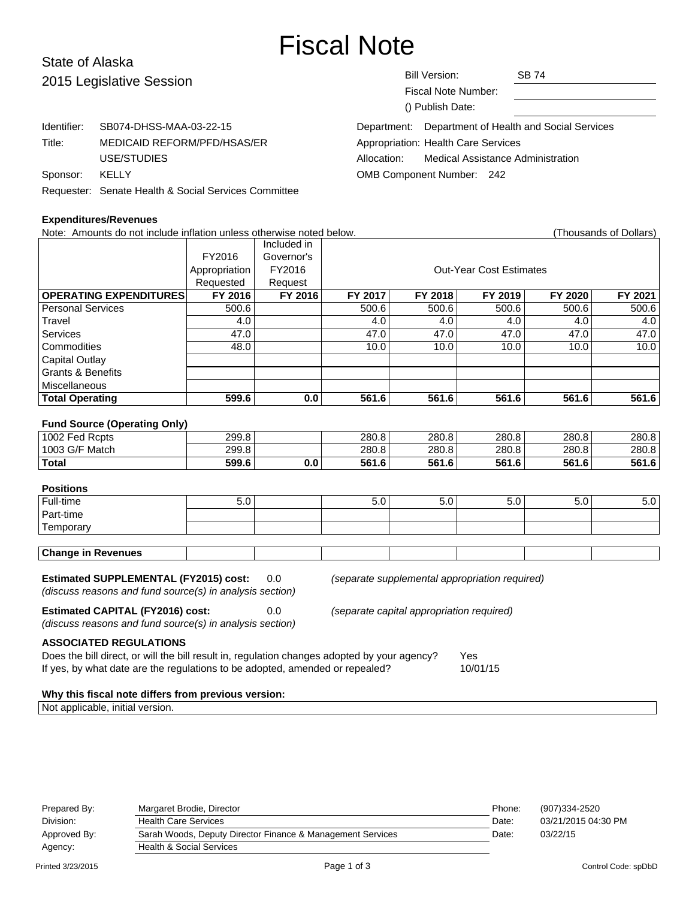# Fiscal Note

## State of Alaska 2015 Legis

| 2015 Legislative Session |                                                      | <b>Bill Version:</b><br>Fiscal Note Number:<br>() Publish Date: | <b>SB 74</b> |
|--------------------------|------------------------------------------------------|-----------------------------------------------------------------|--------------|
| Identifier:              | SB074-DHSS-MAA-03-22-15                              | Department: Department of Health and Social Services            |              |
| Title:                   | MEDICAID REFORM/PFD/HSAS/ER                          | Appropriation: Health Care Services                             |              |
|                          | USE/STUDIES                                          | <b>Medical Assistance Administration</b><br>Allocation:         |              |
| Sponsor:                 | KELLY                                                | <b>OMB Component Number: 242</b>                                |              |
|                          | Requester: Senate Health & Social Services Committee |                                                                 |              |

#### **Expenditures/Revenues**

Note: Amounts do not include inflation unless otherwise noted below. (Thousands of Dollars)

|                               |               | Included in |                                |         |         |         |         |  |
|-------------------------------|---------------|-------------|--------------------------------|---------|---------|---------|---------|--|
|                               | FY2016        | Governor's  |                                |         |         |         |         |  |
|                               | Appropriation | FY2016      | <b>Out-Year Cost Estimates</b> |         |         |         |         |  |
|                               | Requested     | Request     |                                |         |         |         |         |  |
| <b>OPERATING EXPENDITURES</b> | FY 2016       | FY 2016     | FY 2017                        | FY 2018 | FY 2019 | FY 2020 | FY 2021 |  |
| Personal Services             | 500.6         |             | 500.6                          | 500.6   | 500.6   | 500.6   | 500.6   |  |
| Travel                        | 4.0           |             | 4.0                            | 4.0     | 4.0     | 4.0     | 4.0     |  |
| Services                      | 47.0          |             | 47.0                           | 47.0    | 47.0    | 47.0    | 47.0    |  |
| l Commodities                 | 48.0          |             | 10.0                           | 10.0    | 10.0    | 10.0    | 10.0    |  |
| Capital Outlay                |               |             |                                |         |         |         |         |  |
| Grants & Benefits             |               |             |                                |         |         |         |         |  |
| l Miscellaneous               |               |             |                                |         |         |         |         |  |
| <b>Total Operating</b>        | 599.6         | 0.0         | 561.6                          | 561.6   | 561.6   | 561.6   | 561.6   |  |
| _ _ _                         |               |             |                                |         |         |         |         |  |

#### **Fund Source (Operating Only)**

| 1002 Fed Rcpts | 299.8           |     | 280.8 | 280.8 | 280.8 | 280.8 | 280.8 |
|----------------|-----------------|-----|-------|-------|-------|-------|-------|
| 1003 G/F Match | 299.8           |     | 280.8 | 280.8 | 280.8 | 280.8 | 280.8 |
| Total          | 599.6<br>$\sim$ | 0.0 | 561.6 | 561.6 | 561.6 | 561.6 | 561.6 |

#### **Positions**

| Full-time        | v.v | v.v | v.v | v.v | J.U | ບ.ບ |
|------------------|-----|-----|-----|-----|-----|-----|
| Part-time        |     |     |     |     |     |     |
| . —<br>femporary |     |     |     |     |     |     |

| <b>Change in Revenues</b> |  |
|---------------------------|--|
|                           |  |

**Estimated SUPPLEMENTAL (FY2015) cost:** 0.0 (separate supplemental appropriation required)

(discuss reasons and fund source(s) in analysis section)

**Estimated CAPITAL (FY2016) cost:** 0.0 (separate capital appropriation required)

(discuss reasons and fund source(s) in analysis section)

**ASSOCIATED REGULATIONS**

Does the bill direct, or will the bill result in, regulation changes adopted by your agency? Yes If yes, by what date are the regulations to be adopted, amended or repealed? 10/01/15

#### **Why this fiscal note differs from previous version:**

Not applicable, initial version.

| Prepared By: | Margaret Brodie, Director                                  | Phone: | (907)334-2520       |
|--------------|------------------------------------------------------------|--------|---------------------|
| Division:    | <b>Health Care Services</b>                                | Date:  | 03/21/2015 04:30 PM |
| Approved By: | Sarah Woods, Deputy Director Finance & Management Services | Date:  | 03/22/15            |
| Agency:      | <b>Health &amp; Social Services</b>                        |        |                     |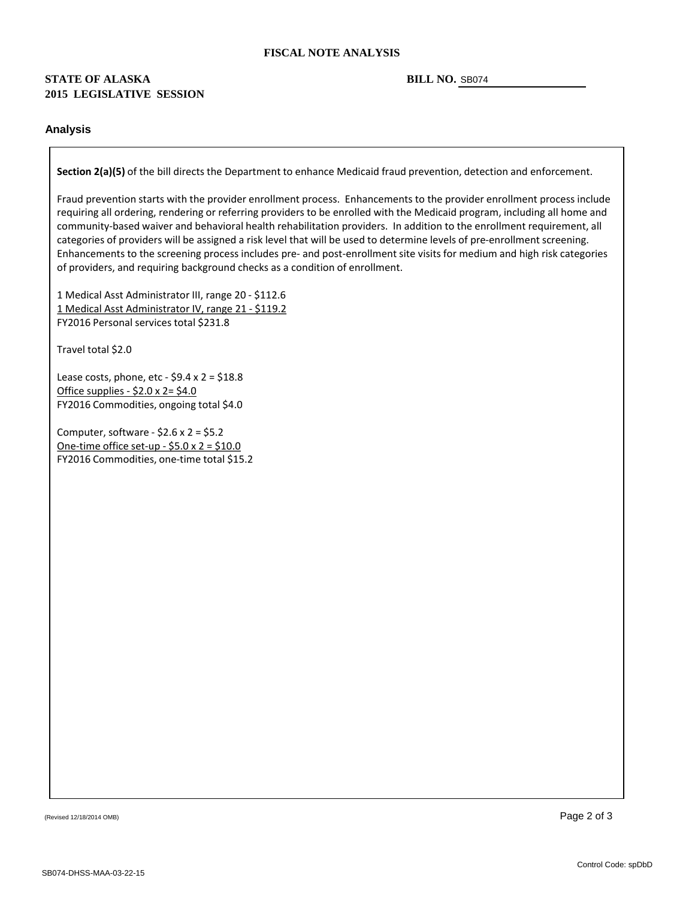#### **FISCAL NOTE ANALYSIS**

### **STATE OF ALASKA 2015 LEGISLATIVE SESSION**

#### BILL NO. SB074

#### **Analysis**

**Section 2(a)(5)** of the bill directs the Department to enhance Medicaid fraud prevention, detection and enforcement.

Fraud prevention starts with the provider enrollment process. Enhancements to the provider enrollment process include requiring all ordering, rendering or referring providers to be enrolled with the Medicaid program, including all home and community -based waiver and behavioral health rehabilitation providers. In addition to the enrollment requirement, all categories of providers will be assigned a risk level that will be used to determine levels of pre -enrollment screening. Enhancements to the screening process includes pre- and post-enrollment site visits for medium and high risk categories of providers, and requiring background checks as a condition of enrollment.

1 Medical Asst Administrator III, range 20 - \$112.6 1 Medical Asst Administrator IV, range 21 - \$119.2 FY2016 Personal services total \$231.8

Travel total \$2.0

Lease costs, phone, etc - \$9.4 x 2 = \$18.8 <u> Office supplies - \$2.0 x 2= \$4.0</u> FY2016 Commodities, ongoing total \$4.0

Computer, software - \$2.6 x 2 = \$5.2 <u> One-time office set-up - \$5.0 x 2 = \$10.0</u> FY2016 Commodities, one -time total \$15.2

(Revised 12/18/2014 OMB)  $\overline{\phantom{a}}$  Page 2 of 3